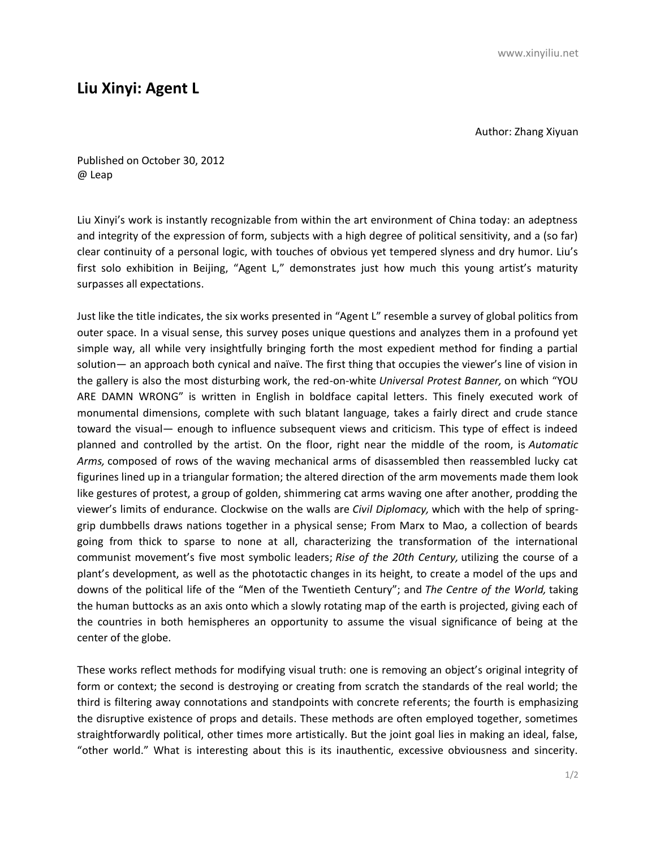## **Liu Xinyi: Agent L**

Author: Zhang Xiyuan

Published on October 30, 2012 @ Leap

Liu Xinyi's work is instantly recognizable from within the art environment of China today: an adeptness and integrity of the expression of form, subjects with a high degree of political sensitivity, and a (so far) clear continuity of a personal logic, with touches of obvious yet tempered slyness and dry humor. Liu's first solo exhibition in Beijing, "Agent L," demonstrates just how much this young artist's maturity surpasses all expectations.

Just like the title indicates, the six works presented in "Agent L" resemble a survey of global politics from outer space. In a visual sense, this survey poses unique questions and analyzes them in a profound yet simple way, all while very insightfully bringing forth the most expedient method for finding a partial solution— an approach both cynical and naïve. The first thing that occupies the viewer's line of vision in the gallery is also the most disturbing work, the red-on-white *Universal Protest Banner,* on which "YOU ARE DAMN WRONG" is written in English in boldface capital letters. This finely executed work of monumental dimensions, complete with such blatant language, takes a fairly direct and crude stance toward the visual— enough to influence subsequent views and criticism. This type of effect is indeed planned and controlled by the artist. On the floor, right near the middle of the room, is *Automatic Arms,* composed of rows of the waving mechanical arms of disassembled then reassembled lucky cat figurines lined up in a triangular formation; the altered direction of the arm movements made them look like gestures of protest, a group of golden, shimmering cat arms waving one after another, prodding the viewer's limits of endurance. Clockwise on the walls are *Civil Diplomacy,* which with the help of springgrip dumbbells draws nations together in a physical sense; From Marx to Mao, a collection of beards going from thick to sparse to none at all, characterizing the transformation of the international communist movement's five most symbolic leaders; *Rise of the 20th Century,* utilizing the course of a plant's development, as well as the phototactic changes in its height, to create a model of the ups and downs of the political life of the "Men of the Twentieth Century"; and *The Centre of the World,* taking the human buttocks as an axis onto which a slowly rotating map of the earth is projected, giving each of the countries in both hemispheres an opportunity to assume the visual significance of being at the center of the globe.

These works reflect methods for modifying visual truth: one is removing an object's original integrity of form or context; the second is destroying or creating from scratch the standards of the real world; the third is filtering away connotations and standpoints with concrete referents; the fourth is emphasizing the disruptive existence of props and details. These methods are often employed together, sometimes straightforwardly political, other times more artistically. But the joint goal lies in making an ideal, false, "other world." What is interesting about this is its inauthentic, excessive obviousness and sincerity.